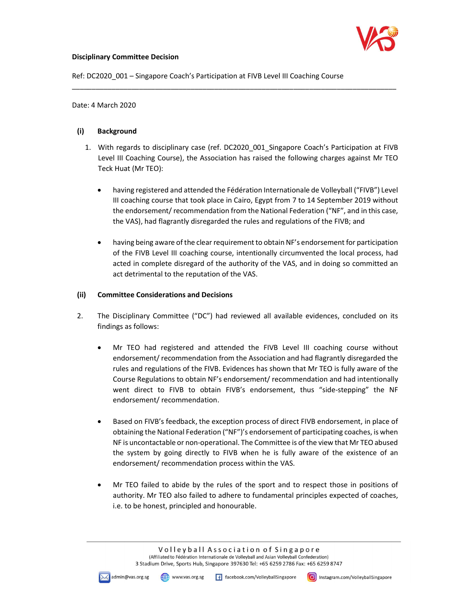

### Disciplinary Committee Decision

Ref: DC2020 001 – Singapore Coach's Participation at FIVB Level III Coaching Course

Date: 4 March 2020

### (i) Background

1. With regards to disciplinary case (ref. DC2020\_001\_Singapore Coach's Participation at FIVB Level III Coaching Course), the Association has raised the following charges against Mr TEO Teck Huat (Mr TEO):

\_\_\_\_\_\_\_\_\_\_\_\_\_\_\_\_\_\_\_\_\_\_\_\_\_\_\_\_\_\_\_\_\_\_\_\_\_\_\_\_\_\_\_\_\_\_\_\_\_\_\_\_\_\_\_\_\_\_\_\_\_\_\_\_\_\_\_\_\_\_\_\_\_\_\_\_\_\_\_\_\_\_

- having registered and attended the Fédération Internationale de Volleyball ("FIVB") Level III coaching course that took place in Cairo, Egypt from 7 to 14 September 2019 without the endorsement/ recommendation from the National Federation ("NF", and in this case, the VAS), had flagrantly disregarded the rules and regulations of the FIVB; and
- having being aware of the clear requirement to obtain NF's endorsement for participation of the FIVB Level III coaching course, intentionally circumvented the local process, had acted in complete disregard of the authority of the VAS, and in doing so committed an act detrimental to the reputation of the VAS.

#### (ii) Committee Considerations and Decisions

- 2. The Disciplinary Committee ("DC") had reviewed all available evidences, concluded on its findings as follows:
	- Mr TEO had registered and attended the FIVB Level III coaching course without endorsement/ recommendation from the Association and had flagrantly disregarded the rules and regulations of the FIVB. Evidences has shown that Mr TEO is fully aware of the Course Regulations to obtain NF's endorsement/ recommendation and had intentionally went direct to FIVB to obtain FIVB's endorsement, thus "side-stepping" the NF endorsement/ recommendation.
	- Based on FIVB's feedback, the exception process of direct FIVB endorsement, in place of obtaining the National Federation ("NF")'s endorsement of participating coaches, is when NF is uncontactable or non-operational. The Committee is of the view that Mr TEO abused the system by going directly to FIVB when he is fully aware of the existence of an endorsement/ recommendation process within the VAS.
	- Mr TEO failed to abide by the rules of the sport and to respect those in positions of authority. Mr TEO also failed to adhere to fundamental principles expected of coaches, i.e. to be honest, principled and honourable.

Volleyball Association of Singapore (Affiliated to Fédération Internationale de Volleyball and Asian Volleyball Confederation) 3 Stadium Drive, Sports Hub, Singapore 397630 Tel: +65 6259 2786 Fax: +65 6259 8747

(M) www.vas.org.sg